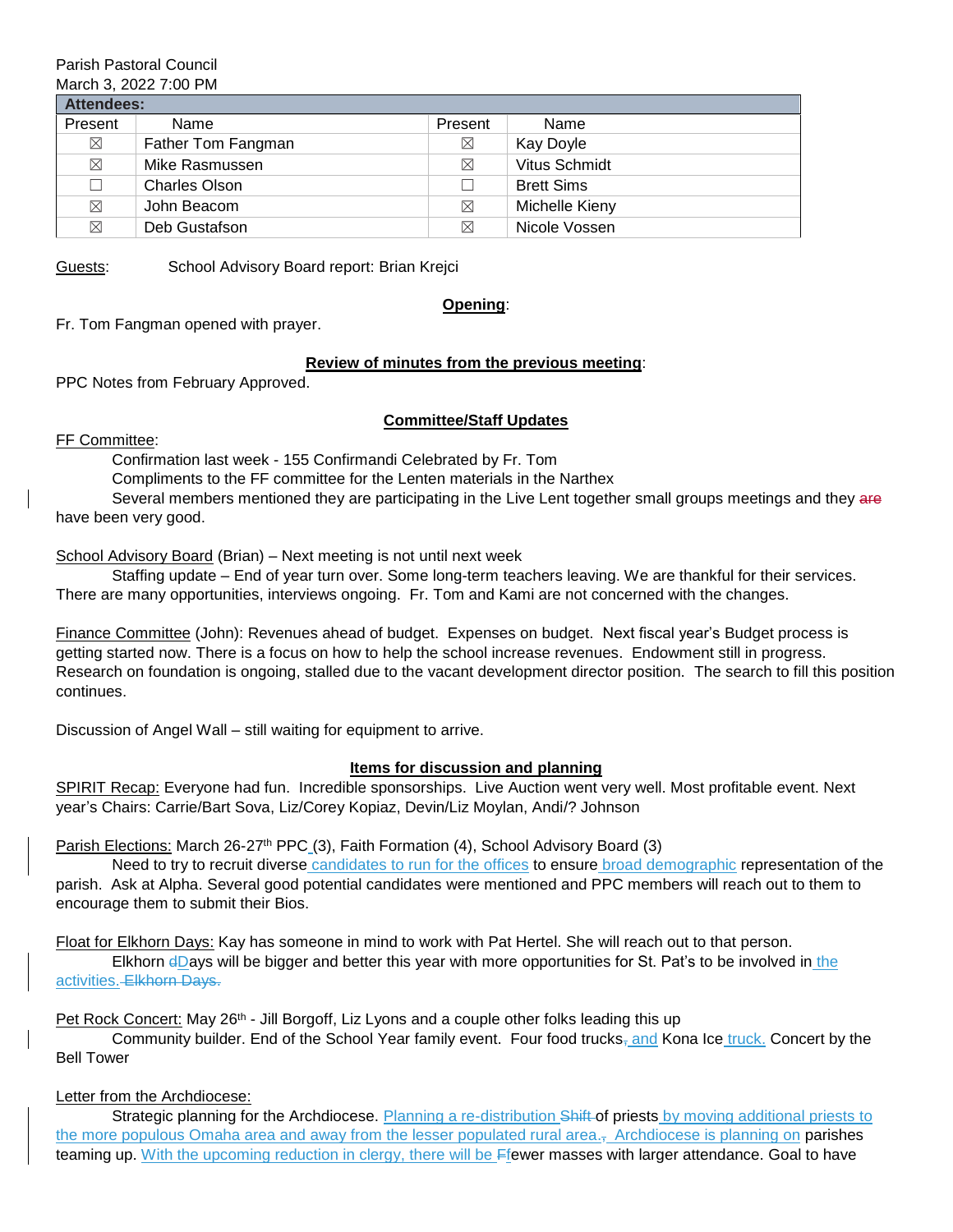#### Parish Pastoral Council March 3, 2022 7:00 PM

| Attendees:  |                    |             |                   |
|-------------|--------------------|-------------|-------------------|
| Present     | Name               | Present     | Name              |
| $\boxtimes$ | Father Tom Fangman | ⊠           | Kay Doyle         |
| $\boxtimes$ | Mike Rasmussen     | ⊠           | Vitus Schmidt     |
| $\Box$      | Charles Olson      |             | <b>Brett Sims</b> |
| $\boxtimes$ | John Beacom        | $\boxtimes$ | Michelle Kieny    |
| $\boxtimes$ | Deb Gustafson      | $\boxtimes$ | Nicole Vossen     |

Guests: School Advisory Board report: Brian Krejci

**Opening**:

Fr. Tom Fangman opened with prayer.

## **Review of minutes from the previous meeting**:

PPC Notes from February Approved.

## **Committee/Staff Updates**

FF Committee:

Confirmation last week - 155 Confirmandi Celebrated by Fr. Tom

Compliments to the FF committee for the Lenten materials in the Narthex

Several members mentioned they are participating in the Live Lent together small groups meetings and they are have been very good.

## School Advisory Board (Brian) – Next meeting is not until next week

Staffing update – End of year turn over. Some long-term teachers leaving. We are thankful for their services. There are many opportunities, interviews ongoing. Fr. Tom and Kami are not concerned with the changes.

Finance Committee (John): Revenues ahead of budget. Expenses on budget. Next fiscal year's Budget process is getting started now. There is a focus on how to help the school increase revenues. Endowment still in progress. Research on foundation is ongoing, stalled due to the vacant development director position. The search to fill this position continues.

Discussion of Angel Wall – still waiting for equipment to arrive.

## **Items for discussion and planning**

SPIRIT Recap: Everyone had fun. Incredible sponsorships. Live Auction went very well. Most profitable event. Next year's Chairs: Carrie/Bart Sova, Liz/Corey Kopiaz, Devin/Liz Moylan, Andi/? Johnson

Parish Elections: March 26-27<sup>th</sup> PPC (3), Faith Formation (4), School Advisory Board (3)

Need to try to recruit diverse candidates to run for the offices to ensure broad demographic representation of the parish. Ask at Alpha. Several good potential candidates were mentioned and PPC members will reach out to them to encourage them to submit their Bios.

Float for Elkhorn Days: Kay has someone in mind to work with Pat Hertel. She will reach out to that person.

Elkhorn dDays will be bigger and better this year with more opportunities for St. Pat's to be involved in the activities. Elkhorn Days.

Pet Rock Concert: May 26<sup>th</sup> - Jill Borgoff, Liz Lyons and a couple other folks leading this up

Community builder. End of the School Year family event. Four food trucks<sub> $<sub>1</sub>$ </sub> and Kona Ice truck. Concert by the</sub> Bell Tower

Letter from the Archdiocese:

Strategic planning for the Archdiocese. Planning a re-distribution Shift of priests by moving additional priests to the more populous Omaha area and away from the lesser populated rural area., Archdiocese is planning on **parishes** teaming up. With the upcoming reduction in clergy, there will be Ffewer masses with larger attendance. Goal to have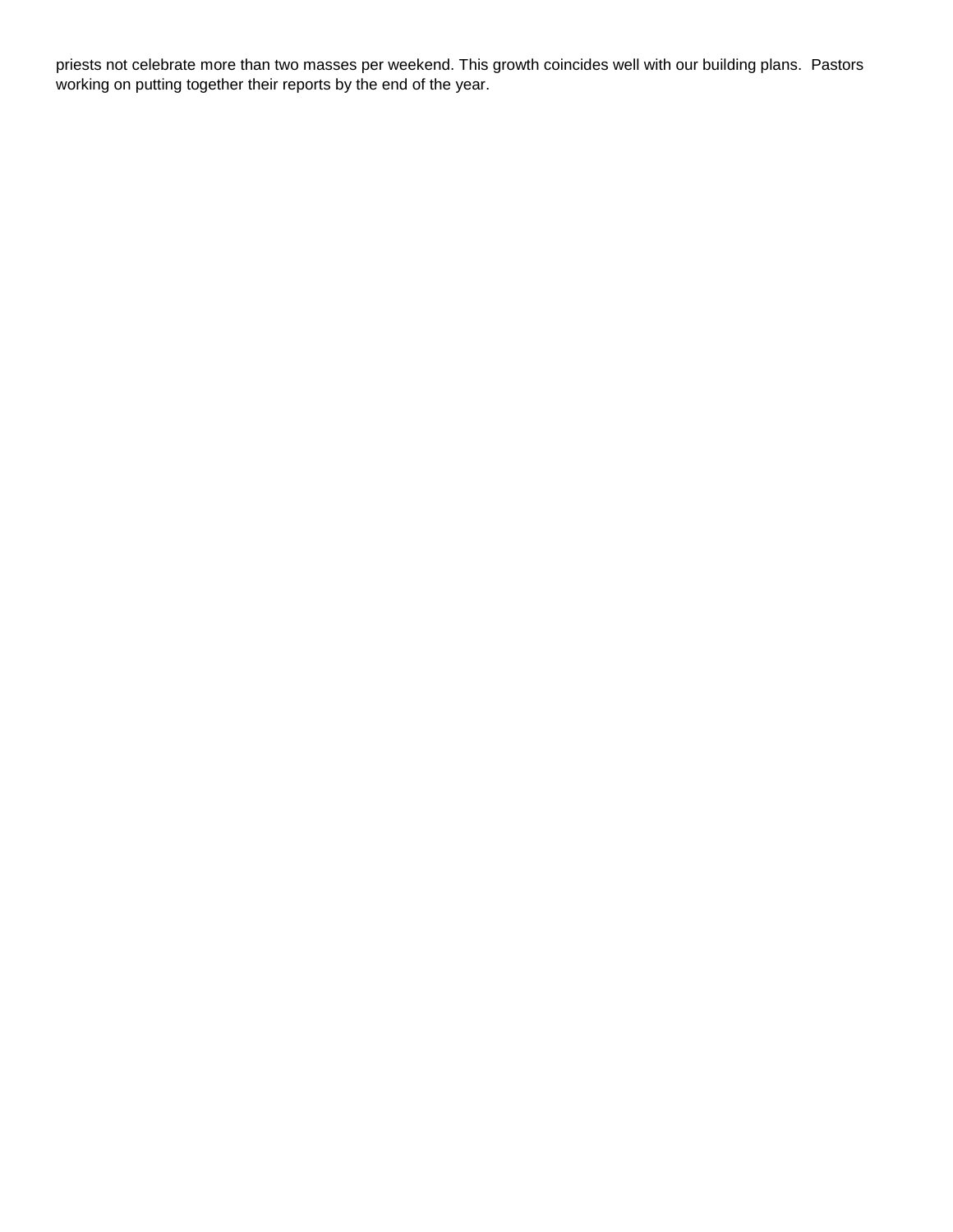priests not celebrate more than two masses per weekend. This growth coincides well with our building plans. Pastors working on putting together their reports by the end of the year.